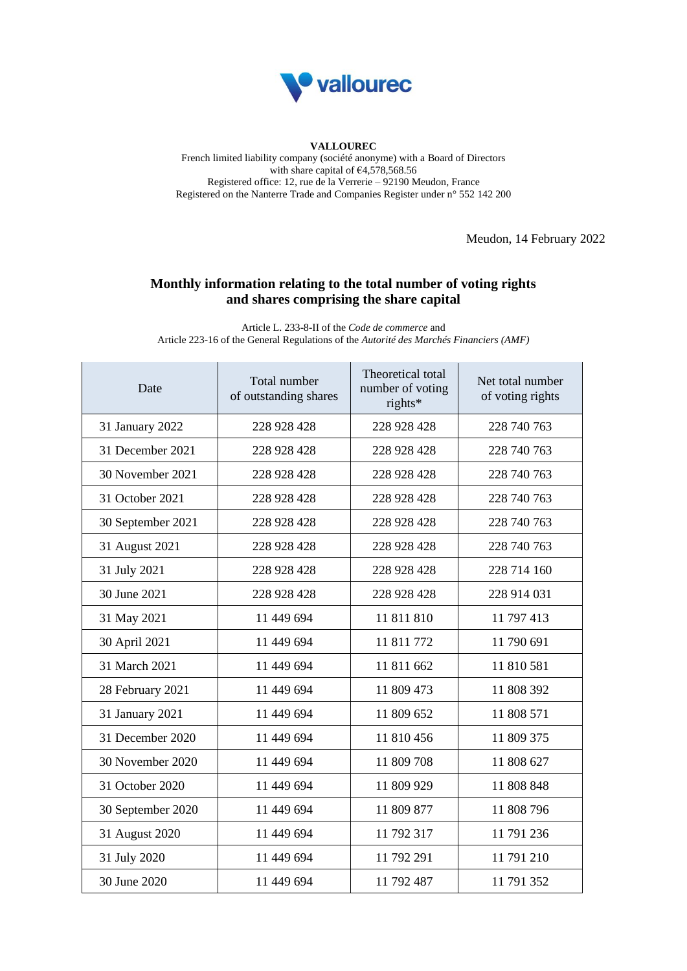

## **VALLOUREC**

French limited liability company (société anonyme) with a Board of Directors with share capital of  $64,578,568.56$ Registered office: 12, rue de la Verrerie – 92190 Meudon, France Registered on the Nanterre Trade and Companies Register under n° 552 142 200

Meudon, 14 February 2022

## **Monthly information relating to the total number of voting rights and shares comprising the share capital**

Article L. 233-8-II of the *Code de commerce* and Article 223-16 of the General Regulations of the *Autorité des Marchés Financiers (AMF)*

| Date              | Total number<br>of outstanding shares | Theoretical total<br>number of voting<br>rights* | Net total number<br>of voting rights |
|-------------------|---------------------------------------|--------------------------------------------------|--------------------------------------|
| 31 January 2022   | 228 928 428                           | 228 928 428                                      | 228 740 763                          |
| 31 December 2021  | 228 928 428                           | 228 928 428                                      | 228 740 763                          |
| 30 November 2021  | 228 928 428                           | 228 928 428                                      | 228 740 763                          |
| 31 October 2021   | 228 928 428                           | 228 928 428                                      | 228 740 763                          |
| 30 September 2021 | 228 928 428                           | 228 928 428                                      | 228 740 763                          |
| 31 August 2021    | 228 928 428                           | 228 928 428                                      | 228 740 763                          |
| 31 July 2021      | 228 928 428                           | 228 928 428                                      | 228 714 160                          |
| 30 June 2021      | 228 928 428                           | 228 928 428                                      | 228 914 031                          |
| 31 May 2021       | 11 449 694                            | 11 811 810                                       | 11 797 413                           |
| 30 April 2021     | 11 449 694                            | 11 811 772                                       | 11 790 691                           |
| 31 March 2021     | 11 449 694                            | 11 811 662                                       | 11 810 581                           |
| 28 February 2021  | 11 449 694                            | 11 809 473                                       | 11 808 392                           |
| 31 January 2021   | 11 449 694                            | 11 809 652                                       | 11 808 571                           |
| 31 December 2020  | 11 449 694                            | 11 810 456                                       | 11 809 375                           |
| 30 November 2020  | 11 449 694                            | 11 809 708                                       | 11 808 627                           |
| 31 October 2020   | 11 449 694                            | 11 809 929                                       | 11 808 848                           |
| 30 September 2020 | 11 449 694                            | 11 809 877                                       | 11 808 796                           |
| 31 August 2020    | 11 449 694                            | 11 792 317                                       | 11 791 236                           |
| 31 July 2020      | 11 449 694                            | 11 792 291                                       | 11 791 210                           |
| 30 June 2020      | 11 449 694                            | 11 792 487                                       | 11 791 352                           |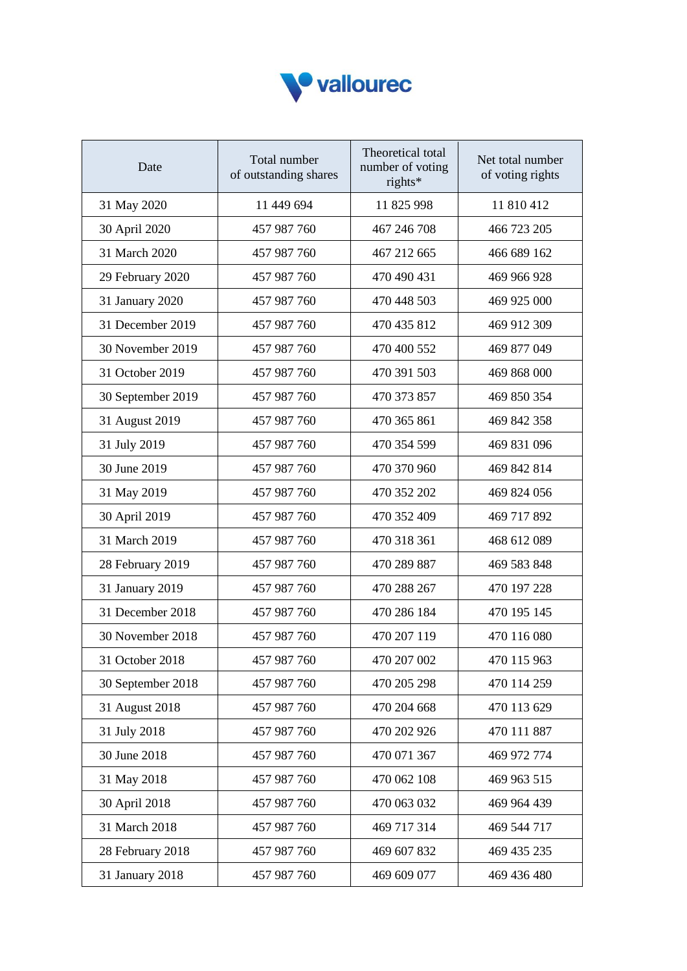

| Date              | Total number<br>of outstanding shares | Theoretical total<br>number of voting<br>rights* | Net total number<br>of voting rights |
|-------------------|---------------------------------------|--------------------------------------------------|--------------------------------------|
| 31 May 2020       | 11 449 694                            | 11 825 998                                       | 11 810 412                           |
| 30 April 2020     | 457 987 760                           | 467 246 708                                      | 466 723 205                          |
| 31 March 2020     | 457 987 760                           | 467 212 665                                      | 466 689 162                          |
| 29 February 2020  | 457 987 760                           | 470 490 431                                      | 469 966 928                          |
| 31 January 2020   | 457 987 760                           | 470 448 503                                      | 469 925 000                          |
| 31 December 2019  | 457 987 760                           | 470 435 812                                      | 469 912 309                          |
| 30 November 2019  | 457 987 760                           | 470 400 552                                      | 469 877 049                          |
| 31 October 2019   | 457 987 760                           | 470 391 503                                      | 469 868 000                          |
| 30 September 2019 | 457 987 760                           | 470 373 857                                      | 469 850 354                          |
| 31 August 2019    | 457 987 760                           | 470 365 861                                      | 469 842 358                          |
| 31 July 2019      | 457 987 760                           | 470 354 599                                      | 469 831 096                          |
| 30 June 2019      | 457 987 760                           | 470 370 960                                      | 469 842 814                          |
| 31 May 2019       | 457 987 760                           | 470 352 202                                      | 469 824 056                          |
| 30 April 2019     | 457 987 760                           | 470 352 409                                      | 469 717 892                          |
| 31 March 2019     | 457 987 760                           | 470 318 361                                      | 468 612 089                          |
| 28 February 2019  | 457 987 760                           | 470 289 887                                      | 469 583 848                          |
| 31 January 2019   | 457 987 760                           | 470 288 267                                      | 470 197 228                          |
| 31 December 2018  | 457 987 760                           | 470 286 184                                      | 470 195 145                          |
| 30 November 2018  | 457 987 760                           | 470 207 119                                      | 470 116 080                          |
| 31 October 2018   | 457 987 760                           | 470 207 002                                      | 470 115 963                          |
| 30 September 2018 | 457 987 760                           | 470 205 298                                      | 470 114 259                          |
| 31 August 2018    | 457 987 760                           | 470 204 668                                      | 470 113 629                          |
| 31 July 2018      | 457 987 760                           | 470 202 926                                      | 470 111 887                          |
| 30 June 2018      | 457 987 760                           | 470 071 367                                      | 469 972 774                          |
| 31 May 2018       | 457 987 760                           | 470 062 108                                      | 469 963 515                          |
| 30 April 2018     | 457 987 760                           | 470 063 032                                      | 469 964 439                          |
| 31 March 2018     | 457 987 760                           | 469 717 314                                      | 469 544 717                          |
| 28 February 2018  | 457 987 760                           | 469 607 832                                      | 469 435 235                          |
| 31 January 2018   | 457 987 760                           | 469 609 077                                      | 469 436 480                          |